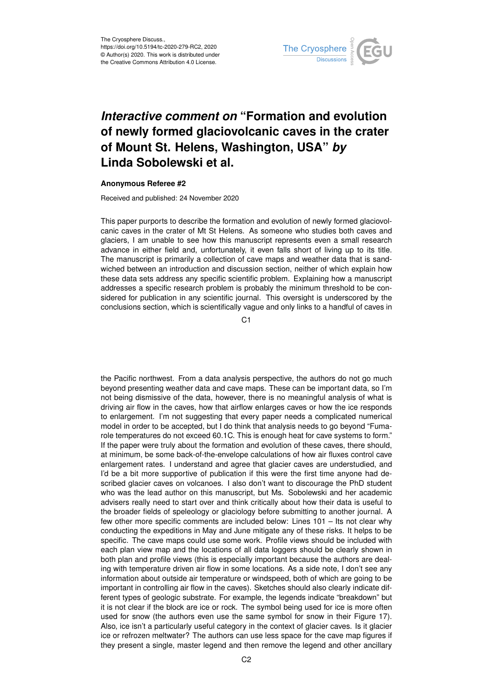

## *Interactive comment on* **"Formation and evolution of newly formed glaciovolcanic caves in the crater of Mount St. Helens, Washington, USA"** *by* **Linda Sobolewski et al.**

## **Anonymous Referee #2**

Received and published: 24 November 2020

This paper purports to describe the formation and evolution of newly formed glaciovolcanic caves in the crater of Mt St Helens. As someone who studies both caves and glaciers, I am unable to see how this manuscript represents even a small research advance in either field and, unfortunately, it even falls short of living up to its title. The manuscript is primarily a collection of cave maps and weather data that is sandwiched between an introduction and discussion section, neither of which explain how these data sets address any specific scientific problem. Explaining how a manuscript addresses a specific research problem is probably the minimum threshold to be considered for publication in any scientific journal. This oversight is underscored by the conclusions section, which is scientifically vague and only links to a handful of caves in

C<sub>1</sub>

the Pacific northwest. From a data analysis perspective, the authors do not go much beyond presenting weather data and cave maps. These can be important data, so I'm not being dismissive of the data, however, there is no meaningful analysis of what is driving air flow in the caves, how that airflow enlarges caves or how the ice responds to enlargement. I'm not suggesting that every paper needs a complicated numerical model in order to be accepted, but I do think that analysis needs to go beyond "Fumarole temperatures do not exceed 60.1C. This is enough heat for cave systems to form." If the paper were truly about the formation and evolution of these caves, there should, at minimum, be some back-of-the-envelope calculations of how air fluxes control cave enlargement rates. I understand and agree that glacier caves are understudied, and I'd be a bit more supportive of publication if this were the first time anyone had described glacier caves on volcanoes. I also don't want to discourage the PhD student who was the lead author on this manuscript, but Ms. Sobolewski and her academic advisers really need to start over and think critically about how their data is useful to the broader fields of speleology or glaciology before submitting to another journal. A few other more specific comments are included below: Lines 101 – Its not clear why conducting the expeditions in May and June mitigate any of these risks. It helps to be specific. The cave maps could use some work. Profile views should be included with each plan view map and the locations of all data loggers should be clearly shown in both plan and profile views (this is especially important because the authors are dealing with temperature driven air flow in some locations. As a side note, I don't see any information about outside air temperature or windspeed, both of which are going to be important in controlling air flow in the caves). Sketches should also clearly indicate different types of geologic substrate. For example, the legends indicate "breakdown" but it is not clear if the block are ice or rock. The symbol being used for ice is more often used for snow (the authors even use the same symbol for snow in their Figure 17). Also, ice isn't a particularly useful category in the context of glacier caves. Is it glacier ice or refrozen meltwater? The authors can use less space for the cave map figures if they present a single, master legend and then remove the legend and other ancillary